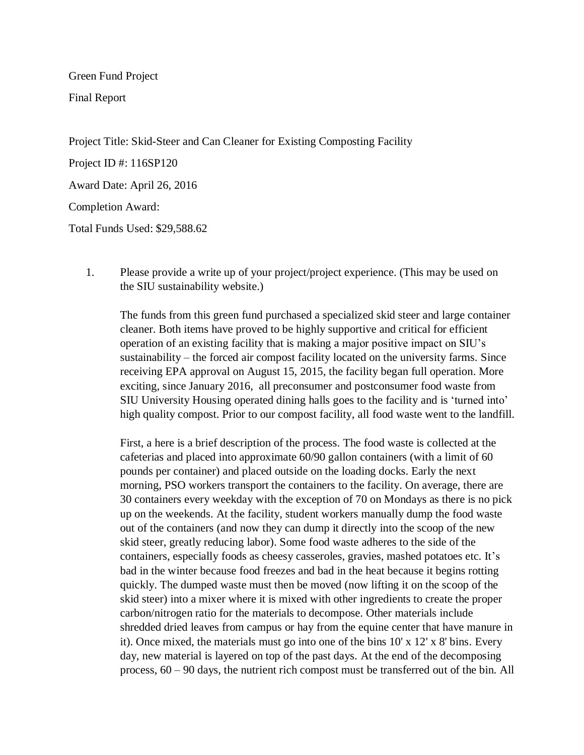Green Fund Project

Final Report

Project Title: Skid-Steer and Can Cleaner for Existing Composting Facility

Project ID #: 116SP120

Award Date: April 26, 2016

Completion Award:

Total Funds Used: \$29,588.62

1. Please provide a write up of your project/project experience. (This may be used on the SIU sustainability website.)

The funds from this green fund purchased a specialized skid steer and large container cleaner. Both items have proved to be highly supportive and critical for efficient operation of an existing facility that is making a major positive impact on SIU's sustainability – the forced air compost facility located on the university farms. Since receiving EPA approval on August 15, 2015, the facility began full operation. More exciting, since January 2016, all preconsumer and postconsumer food waste from SIU University Housing operated dining halls goes to the facility and is 'turned into' high quality compost. Prior to our compost facility, all food waste went to the landfill.

First, a here is a brief description of the process. The food waste is collected at the cafeterias and placed into approximate 60/90 gallon containers (with a limit of 60 pounds per container) and placed outside on the loading docks. Early the next morning, PSO workers transport the containers to the facility. On average, there are 30 containers every weekday with the exception of 70 on Mondays as there is no pick up on the weekends. At the facility, student workers manually dump the food waste out of the containers (and now they can dump it directly into the scoop of the new skid steer, greatly reducing labor). Some food waste adheres to the side of the containers, especially foods as cheesy casseroles, gravies, mashed potatoes etc. It's bad in the winter because food freezes and bad in the heat because it begins rotting quickly. The dumped waste must then be moved (now lifting it on the scoop of the skid steer) into a mixer where it is mixed with other ingredients to create the proper carbon/nitrogen ratio for the materials to decompose. Other materials include shredded dried leaves from campus or hay from the equine center that have manure in it). Once mixed, the materials must go into one of the bins 10' x 12' x 8' bins. Every day, new material is layered on top of the past days. At the end of the decomposing process, 60 – 90 days, the nutrient rich compost must be transferred out of the bin. All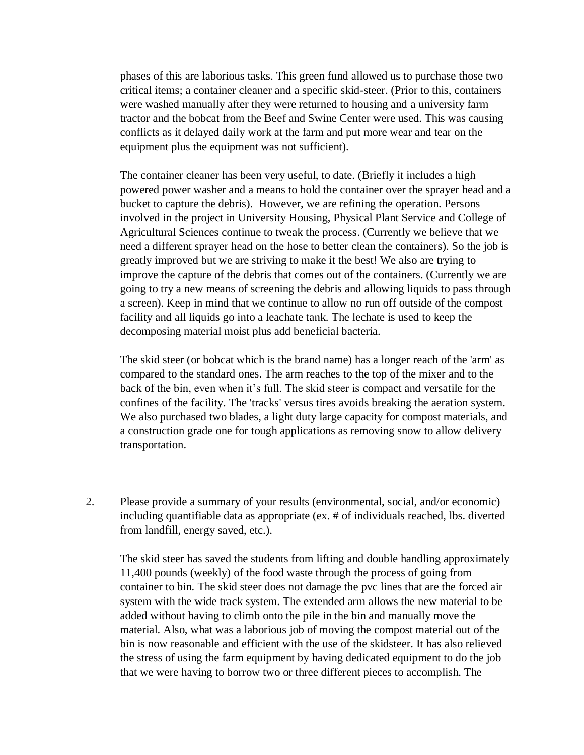phases of this are laborious tasks. This green fund allowed us to purchase those two critical items; a container cleaner and a specific skid-steer. (Prior to this, containers were washed manually after they were returned to housing and a university farm tractor and the bobcat from the Beef and Swine Center were used. This was causing conflicts as it delayed daily work at the farm and put more wear and tear on the equipment plus the equipment was not sufficient).

The container cleaner has been very useful, to date. (Briefly it includes a high powered power washer and a means to hold the container over the sprayer head and a bucket to capture the debris). However, we are refining the operation. Persons involved in the project in University Housing, Physical Plant Service and College of Agricultural Sciences continue to tweak the process. (Currently we believe that we need a different sprayer head on the hose to better clean the containers). So the job is greatly improved but we are striving to make it the best! We also are trying to improve the capture of the debris that comes out of the containers. (Currently we are going to try a new means of screening the debris and allowing liquids to pass through a screen). Keep in mind that we continue to allow no run off outside of the compost facility and all liquids go into a leachate tank. The lechate is used to keep the decomposing material moist plus add beneficial bacteria.

The skid steer (or bobcat which is the brand name) has a longer reach of the 'arm' as compared to the standard ones. The arm reaches to the top of the mixer and to the back of the bin, even when it's full. The skid steer is compact and versatile for the confines of the facility. The 'tracks' versus tires avoids breaking the aeration system. We also purchased two blades, a light duty large capacity for compost materials, and a construction grade one for tough applications as removing snow to allow delivery transportation.

2. Please provide a summary of your results (environmental, social, and/or economic) including quantifiable data as appropriate (ex. # of individuals reached, lbs. diverted from landfill, energy saved, etc.).

The skid steer has saved the students from lifting and double handling approximately 11,400 pounds (weekly) of the food waste through the process of going from container to bin. The skid steer does not damage the pvc lines that are the forced air system with the wide track system. The extended arm allows the new material to be added without having to climb onto the pile in the bin and manually move the material. Also, what was a laborious job of moving the compost material out of the bin is now reasonable and efficient with the use of the skidsteer. It has also relieved the stress of using the farm equipment by having dedicated equipment to do the job that we were having to borrow two or three different pieces to accomplish. The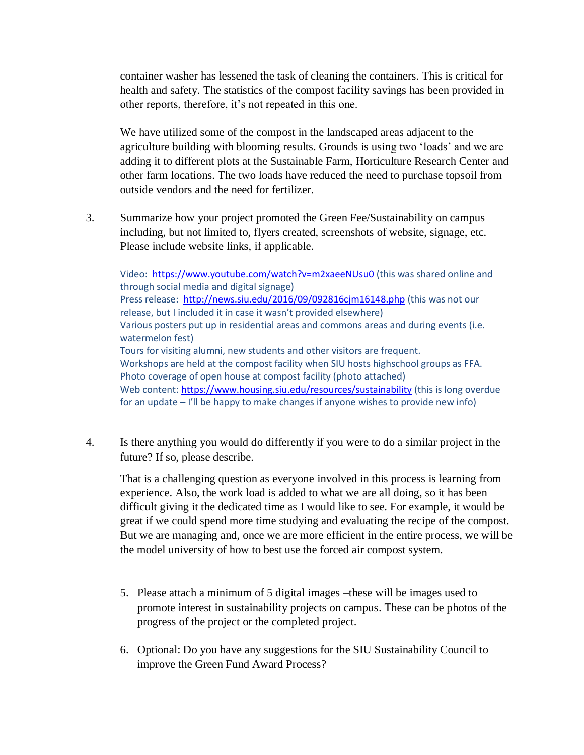container washer has lessened the task of cleaning the containers. This is critical for health and safety. The statistics of the compost facility savings has been provided in other reports, therefore, it's not repeated in this one.

We have utilized some of the compost in the landscaped areas adjacent to the agriculture building with blooming results. Grounds is using two 'loads' and we are adding it to different plots at the Sustainable Farm, Horticulture Research Center and other farm locations. The two loads have reduced the need to purchase topsoil from outside vendors and the need for fertilizer.

3. Summarize how your project promoted the Green Fee/Sustainability on campus including, but not limited to, flyers created, screenshots of website, signage, etc. Please include website links, if applicable.

Video:<https://www.youtube.com/watch?v=m2xaeeNUsu0> (this was shared online and through social media and digital signage) Press release: <http://news.siu.edu/2016/09/092816cjm16148.php> (this was not our release, but I included it in case it wasn't provided elsewhere) Various posters put up in residential areas and commons areas and during events (i.e. watermelon fest) Tours for visiting alumni, new students and other visitors are frequent. Workshops are held at the compost facility when SIU hosts highschool groups as FFA. Photo coverage of open house at compost facility (photo attached) Web content: <https://www.housing.siu.edu/resources/sustainability> (this is long overdue for an update – I'll be happy to make changes if anyone wishes to provide new info)

4. Is there anything you would do differently if you were to do a similar project in the future? If so, please describe.

That is a challenging question as everyone involved in this process is learning from experience. Also, the work load is added to what we are all doing, so it has been difficult giving it the dedicated time as I would like to see. For example, it would be great if we could spend more time studying and evaluating the recipe of the compost. But we are managing and, once we are more efficient in the entire process, we will be the model university of how to best use the forced air compost system.

- 5. Please attach a minimum of 5 digital images –these will be images used to promote interest in sustainability projects on campus. These can be photos of the progress of the project or the completed project.
- 6. Optional: Do you have any suggestions for the SIU Sustainability Council to improve the Green Fund Award Process?